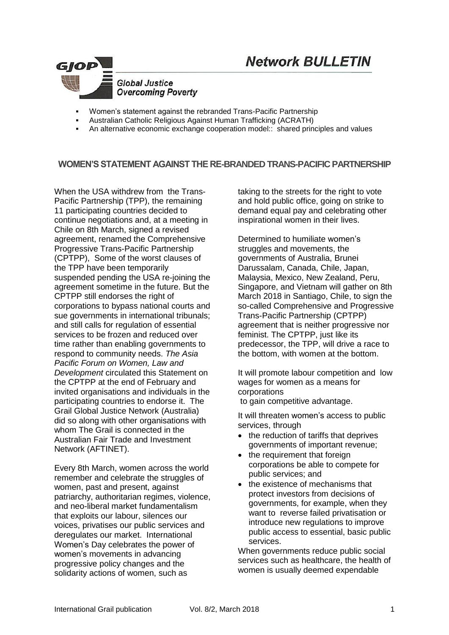



- Women's statement against the rebranded Trans-Pacific Partnership
- Australian Catholic Religious Against Human Trafficking (ACRATH)
- An alternative economic exchange cooperation model:: shared principles and values

### **WOMEN'S STATEMENT AGAINST THE RE-BRANDED TRANS-PACIFIC PARTNERSHIP**

When the USA withdrew from the Trans-Pacific Partnership (TPP), the remaining 11 participating countries decided to continue negotiations and, at a meeting in Chile on 8th March, signed a revised agreement, renamed the Comprehensive Progressive Trans-Pacific Partnership (CPTPP), Some of the worst clauses of the TPP have been temporarily suspended pending the USA re-joining the agreement sometime in the future. But the CPTPP still endorses the right of corporations to bypass national courts and sue governments in international tribunals; and still calls for regulation of essential services to be frozen and reduced over time rather than enabling governments to respond to community needs. *The Asia Pacific Forum on Women, Law and Development* circulated this Statement on the CPTPP at the end of February and invited organisations and individuals in the participating countries to endorse it. The Grail Global Justice Network (Australia) did so along with other organisations with whom The Grail is connected in the Australian Fair Trade and Investment Network (AFTINET).

Every 8th March, women across the world remember and celebrate the struggles of women, past and present, against patriarchy, authoritarian regimes, violence, and neo-liberal market fundamentalism that exploits our labour, silences our voices, privatises our public services and deregulates our market. International Women's Day celebrates the power of women's movements in advancing progressive policy changes and the solidarity actions of women, such as

taking to the streets for the right to vote and hold public office, going on strike to demand equal pay and celebrating other inspirational women in their lives.

Determined to humiliate women's struggles and movements, the governments of Australia, Brunei Darussalam, Canada, Chile, Japan, Malaysia, Mexico, New Zealand, Peru, Singapore, and Vietnam will gather on 8th March 2018 in Santiago, Chile, to sign the so-called Comprehensive and Progressive Trans-Pacific Partnership (CPTPP) agreement that is neither progressive nor feminist. The CPTPP, just like its predecessor, the TPP, will drive a race to the bottom, with women at the bottom.

It will promote labour competition and low wages for women as a means for corporations to gain competitive advantage.

It will threaten women's access to public services, through

- the reduction of tariffs that deprives governments of important revenue;
- the requirement that foreign corporations be able to compete for public services; and
- the existence of mechanisms that protect investors from decisions of governments, for example, when they want to reverse failed privatisation or introduce new regulations to improve public access to essential, basic public services.

When governments reduce public social services such as healthcare, the health of women is usually deemed expendable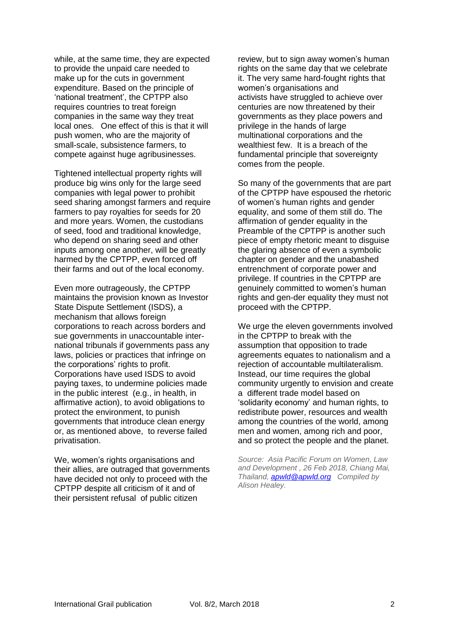while, at the same time, they are expected to provide the unpaid care needed to make up for the cuts in government expenditure. Based on the principle of 'national treatment', the CPTPP also requires countries to treat foreign companies in the same way they treat local ones. One effect of this is that it will push women, who are the majority of small-scale, subsistence farmers, to compete against huge agribusinesses.

Tightened intellectual property rights will produce big wins only for the large seed companies with legal power to prohibit seed sharing amongst farmers and require farmers to pay royalties for seeds for 20 and more years. Women, the custodians of seed, food and traditional knowledge, who depend on sharing seed and other inputs among one another, will be greatly harmed by the CPTPP, even forced off their farms and out of the local economy.

Even more outrageously, the CPTPP maintains the provision known as Investor State Dispute Settlement (ISDS), a mechanism that allows foreign corporations to reach across borders and sue governments in unaccountable international tribunals if governments pass any laws, policies or practices that infringe on the corporations' rights to profit. Corporations have used ISDS to avoid paying taxes, to undermine policies made in the public interest (e.g., in health, in affirmative action), to avoid obligations to protect the environment, to punish governments that introduce clean energy or, as mentioned above, to reverse failed privatisation.

We, women's rights organisations and their allies, are outraged that governments have decided not only to proceed with the CPTPP despite all criticism of it and of their persistent refusal of public citizen

review, but to sign away women's human rights on the same day that we celebrate it. The very same hard-fought rights that women's organisations and activists have struggled to achieve over centuries are now threatened by their governments as they place powers and privilege in the hands of large multinational corporations and the wealthiest few. It is a breach of the fundamental principle that sovereignty comes from the people.

So many of the governments that are part of the CPTPP have espoused the rhetoric of women's human rights and gender equality, and some of them still do. The affirmation of gender equality in the Preamble of the CPTPP is another such piece of empty rhetoric meant to disguise the glaring absence of even a symbolic chapter on gender and the unabashed entrenchment of corporate power and privilege. If countries in the CPTPP are genuinely committed to women's human rights and gen-der equality they must not proceed with the CPTPP.

We urge the eleven governments involved in the CPTPP to break with the assumption that opposition to trade agreements equates to nationalism and a rejection of accountable multilateralism. Instead, our time requires the global community urgently to envision and create a different trade model based on 'solidarity economy' and human rights, to redistribute power, resources and wealth among the countries of the world, among men and women, among rich and poor, and so protect the people and the planet.

*Source: Asia Pacific Forum on Women, Law and Development , 26 Feb 2018, Chiang Mai, Thailand, [apwld@apwld.org](mailto:apwld@apwld.org) Compiled by Alison Healey.*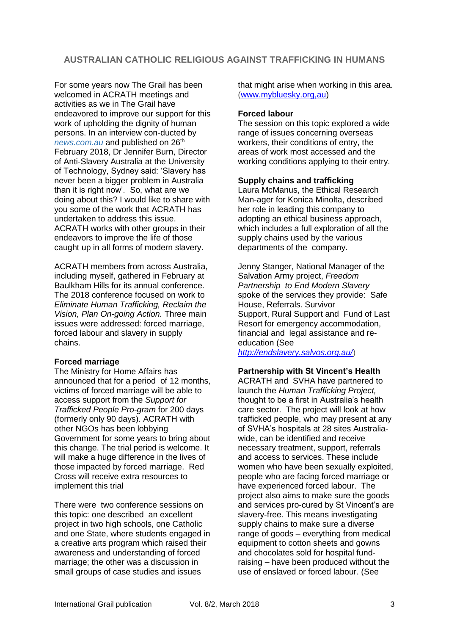# **AUSTRALIAN CATHOLIC RELIGIOUS AGAINST TRAFFICKING IN HUMANS**

For some years now The Grail has been welcomed in ACRATH meetings and activities as we in The Grail have endeavored to improve our support for this work of upholding the dignity of human persons. In an interview con-ducted by *news.com.au* and published on 26<sup>th</sup> February 2018, Dr Jennifer Burn, Director of Anti-Slavery Australia at the University of Technology, Sydney said: 'Slavery has never been a bigger problem in Australia than it is right now'. So, what are we doing about this? I would like to share with you some of the work that ACRATH has undertaken to address this issue. ACRATH works with other groups in their endeavors to improve the life of those caught up in all forms of modern slavery.

ACRATH members from across Australia, including myself, gathered in February at Baulkham Hills for its annual conference. The 2018 conference focused on work to *Eliminate Human Trafficking, Reclaim the Vision, Plan On-going Action.* Three main issues were addressed: forced marriage, forced labour and slavery in supply chains.

### **Forced marriage**

The Ministry for Home Affairs has announced that for a period of 12 months, victims of forced marriage will be able to access support from the *Support for Trafficked People Pro-gram* for 200 days (formerly only 90 days). ACRATH with other NGOs has been lobbying Government for some years to bring about this change. The trial period is welcome. It will make a huge difference in the lives of those impacted by forced marriage. Red Cross will receive extra resources to implement this trial

There were two conference sessions on this topic: one described an excellent project in two high schools, one Catholic and one State, where students engaged in a creative arts program which raised their awareness and understanding of forced marriage; the other was a discussion in small groups of case studies and issues

that might arise when working in this area. [\(www.mybluesky.org,au\)](http://www.mybluesky.org,au/)

### **Forced labour**

The session on this topic explored a wide range of issues concerning overseas workers, their conditions of entry, the areas of work most accessed and the working conditions applying to their entry.

### **Supply chains and trafficking**

Laura McManus, the Ethical Research Man-ager for Konica Minolta, described her role in leading this company to adopting an ethical business approach, which includes a full exploration of all the supply chains used by the various departments of the company.

Jenny Stanger, National Manager of the Salvation Army project, *Freedom Partnership to End Modern Slavery* spoke of the services they provide: Safe House, Referrals. Survivor Support, Rural Support and Fund of Last Resort for emergency accommodation, financial and legal assistance and reeducation (See

*<http://endslavery.salvos.org.au/>*)

## **Partnership with St Vincent's Health**

ACRATH and SVHA have partnered to launch the *Human Trafficking Project,* thought to be a first in Australia's health care sector. The project will look at how trafficked people, who may present at any of SVHA's hospitals at 28 sites Australiawide, can be identified and receive necessary treatment, support, referrals and access to services. These include women who have been sexually exploited, people who are facing forced marriage or have experienced forced labour. The project also aims to make sure the goods and services pro-cured by St Vincent's are slavery-free. This means investigating supply chains to make sure a diverse range of goods – everything from medical equipment to cotton sheets and gowns and chocolates sold for hospital fundraising – have been produced without the use of enslaved or forced labour. (See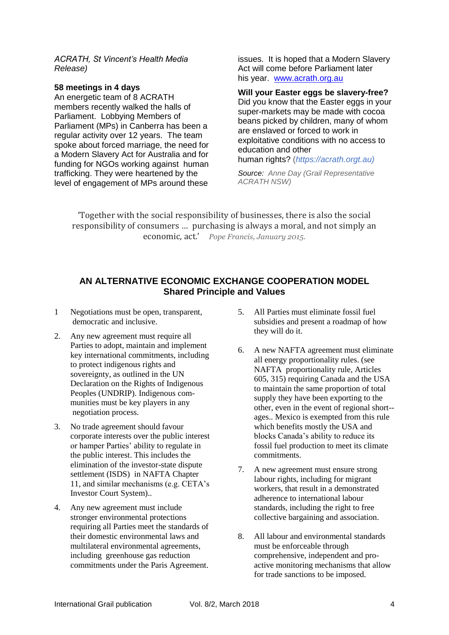*ACRATH, St Vincent's Health Media Release)*

### **58 meetings in 4 days**

An energetic team of 8 ACRATH members recently walked the halls of Parliament. Lobbying Members of Parliament (MPs) in Canberra has been a regular activity over 12 years. The team spoke about forced marriage, the need for a Modern Slavery Act for Australia and for funding for NGOs working against human trafficking. They were heartened by the level of engagement of MPs around these issues. It is hoped that a Modern Slavery Act will come before Parliament later his year. [www.acrath.org.au](http://www.acrath.org.au/) 

**Will your Easter eggs be slavery-free?** Did you know that the Easter eggs in your super-markets may be made with cocoa beans picked by children, many of whom are enslaved or forced to work in exploitative conditions with no access to education and other

human rights? (*https://acrath.orgt.au)*

*Source: Anne Day (Grail Representative ACRATH NSW)* 

'Together with the social responsibility of businesses, there is also the social responsibility of consumers … purchasing is always a moral, and not simply an economic, act.' *Pope Francis, January 2015.*

# **AN ALTERNATIVE ECONOMIC EXCHANGE COOPERATION MODEL Shared Principle and Values**

- 1 Negotiations must be open, transparent, democratic and inclusive.
- 2. Any new agreement must require all Parties to adopt, maintain and implement key international commitments, including to protect indigenous rights and sovereignty, as outlined in the UN Declaration on the Rights of Indigenous Peoples (UNDRIP). Indigenous communities must be key players in any negotiation process.
- 3. No trade agreement should favour corporate interests over the public interest or hamper Parties' ability to regulate in the public interest. This includes the elimination of the investor-state dispute settlement (ISDS) in NAFTA Chapter 11, and similar mechanisms (e.g. CETA's Investor Court System)..
- 4. Any new agreement must include stronger environmental protections requiring all Parties meet the standards of their domestic environmental laws and multilateral environmental agreements, including greenhouse gas reduction commitments under the Paris Agreement.
- 5. All Parties must eliminate fossil fuel subsidies and present a roadmap of how they will do it.
- 6. A new NAFTA agreement must eliminate all energy proportionality rules. (see NAFTA proportionality rule, Articles 605, 315) requiring Canada and the USA to maintain the same proportion of total supply they have been exporting to the other, even in the event of regional short- ages.. Mexico is exempted from this rule which benefits mostly the USA and blocks Canada's ability to reduce its fossil fuel production to meet its climate commitments.
- 7. A new agreement must ensure strong labour rights, including for migrant workers, that result in a demonstrated adherence to international labour standards, including the right to free collective bargaining and association.
- 8. All labour and environmental standards must be enforceable through comprehensive, independent and proactive monitoring mechanisms that allow for trade sanctions to be imposed.